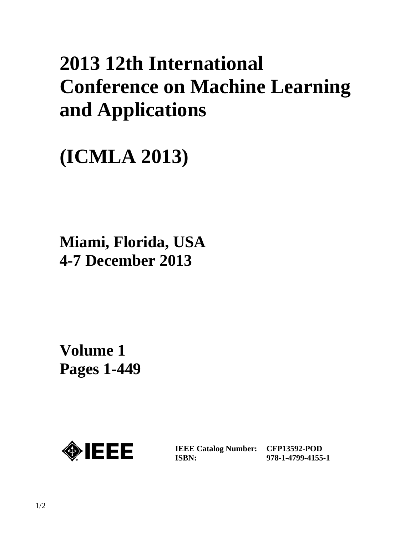# **2013 12th International Conference on Machine Learning and Applications**

# **(ICMLA 2013)**

**Miami, Florida, USA 4-7 December 2013**

**Volume 1 Pages 1-449** 



**IEEE Catalog Number: CFP13592-POD ISBN:** 

**978-1-4799-4155-1**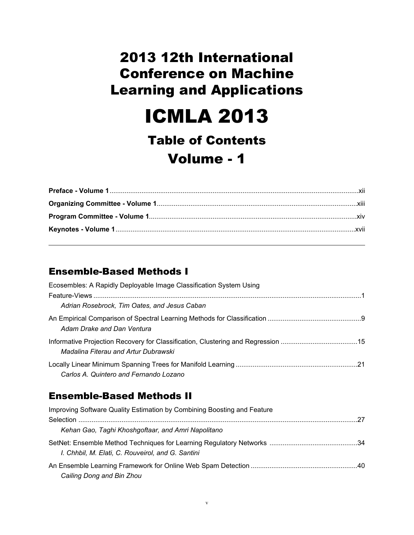# 2013 12th International Conference on Machine Learning and Applications

# ICMLA 2013

# Table of Contents

# Volume - 1

### Ensemble-Based Methods I

| Ecosembles: A Rapidly Deployable Image Classification System Using |
|--------------------------------------------------------------------|
|                                                                    |
| Adrian Rosebrock, Tim Oates, and Jesus Caban                       |
| Adam Drake and Dan Ventura                                         |
| Madalina Fiterau and Artur Dubrawski                               |
| Carlos A. Quintero and Fernando Lozano                             |

### Ensemble-Based Methods II

| Improving Software Quality Estimation by Combining Boosting and Feature |  |
|-------------------------------------------------------------------------|--|
|                                                                         |  |
| Kehan Gao, Taghi Khoshgoftaar, and Amri Napolitano                      |  |
| I. Chhbil, M. Elati, C. Rouveirol, and G. Santini                       |  |
| Cailing Dong and Bin Zhou                                               |  |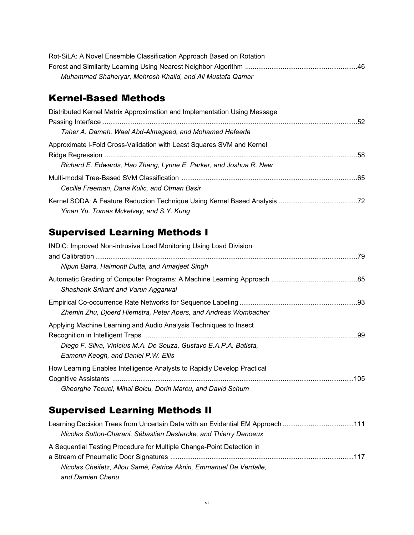| Rot-SiLA: A Novel Ensemble Classification Approach Based on Rotation |  |
|----------------------------------------------------------------------|--|
|                                                                      |  |
| Muhammad Shaheryar, Mehrosh Khalid, and Ali Mustafa Qamar            |  |

### Kernel-Based Methods

| Distributed Kernel Matrix Approximation and Implementation Using Message |  |
|--------------------------------------------------------------------------|--|
|                                                                          |  |
| Taher A. Dameh, Wael Abd-Almageed, and Mohamed Hefeeda                   |  |
| Approximate I-Fold Cross-Validation with Least Squares SVM and Kernel    |  |
|                                                                          |  |
| Richard E. Edwards, Hao Zhang, Lynne E. Parker, and Joshua R. New        |  |
|                                                                          |  |
| Cecille Freeman, Dana Kulic, and Otman Basir                             |  |
|                                                                          |  |
| Yinan Yu, Tomas Mckelvey, and S.Y. Kung                                  |  |

# Supervised Learning Methods I

| INDIC: Improved Non-intrusive Load Monitoring Using Load Division                                                                                                             |  |
|-------------------------------------------------------------------------------------------------------------------------------------------------------------------------------|--|
| Nipun Batra, Haimonti Dutta, and Amarjeet Singh                                                                                                                               |  |
| Shashank Srikant and Varun Aggarwal                                                                                                                                           |  |
| Zhemin Zhu, Djoerd Hiemstra, Peter Apers, and Andreas Wombacher                                                                                                               |  |
| Applying Machine Learning and Audio Analysis Techniques to Insect<br>Diego F. Silva, Vinícius M.A. De Souza, Gustavo E.A.P.A. Batista,<br>Eamonn Keogh, and Daniel P.W. Ellis |  |
| How Learning Enables Intelligence Analysts to Rapidly Develop Practical<br>Gheorghe Tecuci, Mihai Boicu, Dorin Marcu, and David Schum                                         |  |

# Supervised Learning Methods II

| Learning Decision Trees from Uncertain Data with an Evidential EM Approach 111 |  |
|--------------------------------------------------------------------------------|--|
| Nicolas Sutton-Charani, Sébastien Destercke, and Thierry Denoeux               |  |
| A Sequential Testing Procedure for Multiple Change-Point Detection in          |  |
|                                                                                |  |
| Nicolas Cheifetz, Allou Samé, Patrice Aknin, Emmanuel De Verdalle,             |  |
| and Damien Chenu                                                               |  |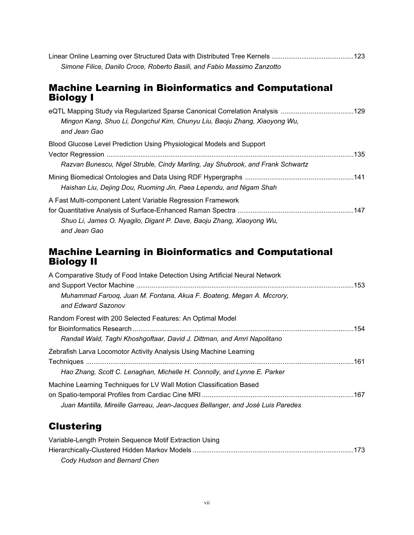| Simone Filice, Danilo Croce, Roberto Basili, and Fabio Massimo Zanzotto |  |
|-------------------------------------------------------------------------|--|

#### Machine Learning in Bioinformatics and Computational Biology I

| Mingon Kang, Shuo Li, Dongchul Kim, Chunyu Liu, Baoju Zhang, Xiaoyong Wu,<br>and Jean Gao                                                               |  |
|---------------------------------------------------------------------------------------------------------------------------------------------------------|--|
| Blood Glucose Level Prediction Using Physiological Models and Support<br>Razvan Bunescu, Nigel Struble, Cindy Marling, Jay Shubrook, and Frank Schwartz |  |
| Haishan Liu, Dejing Dou, Ruoming Jin, Paea Lependu, and Nigam Shah                                                                                      |  |
| A Fast Multi-component Latent Variable Regression Framework<br>Shuo Li, James O. Nyagilo, Digant P. Dave, Baoju Zhang, Xiaoyong Wu,<br>and Jean Gao     |  |

### Machine Learning in Bioinformatics and Computational Biology II

| A Comparative Study of Food Intake Detection Using Artificial Neural Network                                                                          |  |
|-------------------------------------------------------------------------------------------------------------------------------------------------------|--|
| Muhammad Farooq, Juan M. Fontana, Akua F. Boateng, Megan A. Mccrory,<br>and Edward Sazonov                                                            |  |
| Random Forest with 200 Selected Features: An Optimal Model<br>Randall Wald, Taghi Khoshgoftaar, David J. Dittman, and Amri Napolitano                 |  |
| Zebrafish Larva Locomotor Activity Analysis Using Machine Learning<br>Hao Zhang, Scott C. Lenaghan, Michelle H. Connolly, and Lynne E. Parker         |  |
| Machine Learning Techniques for LV Wall Motion Classification Based<br>Juan Mantilla, Mireille Garreau, Jean-Jacques Bellanger, and José Luis Paredes |  |

### **Clustering**

| Variable-Length Protein Sequence Motif Extraction Using |  |
|---------------------------------------------------------|--|
|                                                         |  |
| Cody Hudson and Bernard Chen                            |  |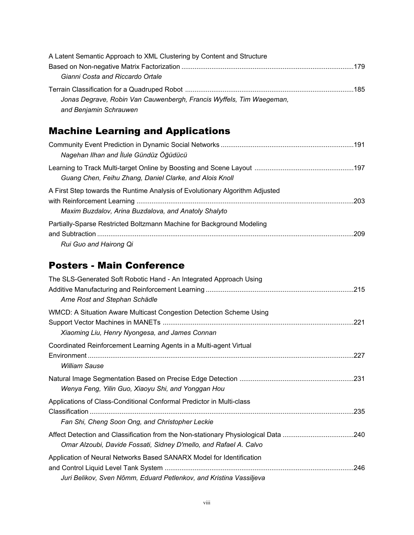| A Latent Semantic Approach to XML Clustering by Content and Structure |  |
|-----------------------------------------------------------------------|--|
|                                                                       |  |
| Gianni Costa and Riccardo Ortale                                      |  |
|                                                                       |  |
| Jonas Degrave, Robin Van Cauwenbergh, Francis Wyffels, Tim Waegeman,  |  |
| and Benjamin Schrauwen                                                |  |

# Machine Learning and Applications

| Nagehan Ilhan and İlule Gündüz Öğüdücü                                                                                               |      |
|--------------------------------------------------------------------------------------------------------------------------------------|------|
| Guang Chen, Feihu Zhang, Daniel Clarke, and Alois Knoll                                                                              |      |
| A First Step towards the Runtime Analysis of Evolutionary Algorithm Adjusted<br>Maxim Buzdalov, Arina Buzdalova, and Anatoly Shalyto |      |
| Partially-Sparse Restricted Boltzmann Machine for Background Modeling<br>Rui Guo and Hairong Qi                                      | .209 |

## Posters - Main Conference

| The SLS-Generated Soft Robotic Hand - An Integrated Approach Using<br>Arne Rost and Stephan Schädle                                         |      |
|---------------------------------------------------------------------------------------------------------------------------------------------|------|
| WMCD: A Situation Aware Multicast Congestion Detection Scheme Using<br>Xiaoming Liu, Henry Nyongesa, and James Connan                       | .221 |
| Coordinated Reinforcement Learning Agents in a Multi-agent Virtual<br><b>William Sause</b>                                                  |      |
| Wenya Feng, Yilin Guo, Xiaoyu Shi, and Yonggan Hou                                                                                          |      |
| Applications of Class-Conditional Conformal Predictor in Multi-class<br>Fan Shi, Cheng Soon Ong, and Christopher Leckie                     |      |
| Omar Alzoubi, Davide Fossati, Sidney D'mello, and Rafael A. Calvo                                                                           |      |
| Application of Neural Networks Based SANARX Model for Identification<br>Juri Belikov, Sven Nõmm, Eduard Petlenkov, and Kristina Vassilieva. |      |

*Juri Belikov, Sven Nõmm, Eduard Petlenkov, and Kristina Vassiljeva*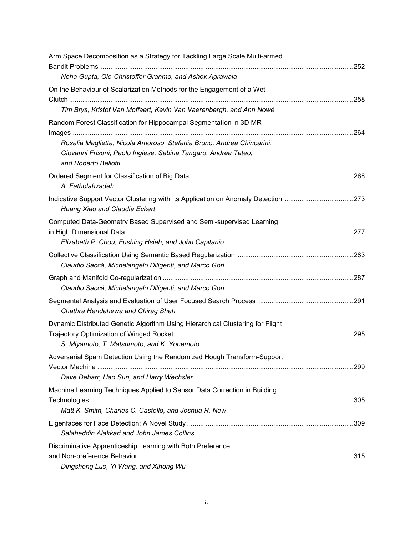| Arm Space Decomposition as a Strategy for Tackling Large Scale Multi-armed                                                                                      |      |
|-----------------------------------------------------------------------------------------------------------------------------------------------------------------|------|
| Neha Gupta, Ole-Christoffer Granmo, and Ashok Agrawala                                                                                                          |      |
| On the Behaviour of Scalarization Methods for the Engagement of a Wet                                                                                           |      |
|                                                                                                                                                                 | .258 |
| Tim Brys, Kristof Van Moffaert, Kevin Van Vaerenbergh, and Ann Nowé                                                                                             |      |
| Random Forest Classification for Hippocampal Segmentation in 3D MR                                                                                              | .264 |
| Rosalia Maglietta, Nicola Amoroso, Stefania Bruno, Andrea Chincarini,<br>Giovanni Frisoni, Paolo Inglese, Sabina Tangaro, Andrea Tateo,<br>and Roberto Bellotti |      |
| A. Fatholahzadeh                                                                                                                                                |      |
| Indicative Support Vector Clustering with Its Application on Anomaly Detection 273<br>Huang Xiao and Claudia Eckert                                             |      |
| Computed Data-Geometry Based Supervised and Semi-supervised Learning                                                                                            |      |
| Elizabeth P. Chou, Fushing Hsieh, and John Capitanio                                                                                                            |      |
| Claudio Saccá, Michelangelo Diligenti, and Marco Gori                                                                                                           |      |
| Claudio Saccá, Michelangelo Diligenti, and Marco Gori                                                                                                           |      |
| Chathra Hendahewa and Chirag Shah                                                                                                                               |      |
| Dynamic Distributed Genetic Algorithm Using Hierarchical Clustering for Flight<br>S. Miyamoto, T. Matsumoto, and K. Yonemoto                                    | .295 |
| Adversarial Spam Detection Using the Randomized Hough Transform-Support                                                                                         | .299 |
| Dave Debarr, Hao Sun, and Harry Wechsler                                                                                                                        |      |
| Machine Learning Techniques Applied to Sensor Data Correction in Building                                                                                       |      |
| Matt K. Smith, Charles C. Castello, and Joshua R. New                                                                                                           |      |
| Salaheddin Alakkari and John James Collins                                                                                                                      |      |
| Discriminative Apprenticeship Learning with Both Preference<br>Dingsheng Luo, Yi Wang, and Xihong Wu                                                            |      |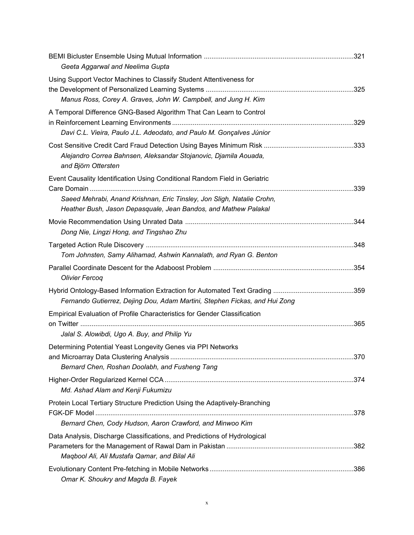| Geeta Aggarwal and Neelima Gupta                                                                                                                                                                                        |  |
|-------------------------------------------------------------------------------------------------------------------------------------------------------------------------------------------------------------------------|--|
| Using Support Vector Machines to Classify Student Attentiveness for<br>Manus Ross, Corey A. Graves, John W. Campbell, and Jung H. Kim                                                                                   |  |
| A Temporal Difference GNG-Based Algorithm That Can Learn to Control<br>Davi C.L. Vieira, Paulo J.L. Adeodato, and Paulo M. Gonçalves Júnior                                                                             |  |
| Alejandro Correa Bahnsen, Aleksandar Stojanovic, Djamila Aouada,<br>and Björn Ottersten                                                                                                                                 |  |
| Event Causality Identification Using Conditional Random Field in Geriatric<br>Saeed Mehrabi, Anand Krishnan, Eric Tinsley, Jon Sligh, Natalie Crohn,<br>Heather Bush, Jason Depasquale, Jean Bandos, and Mathew Palakal |  |
| Dong Nie, Lingzi Hong, and Tingshao Zhu                                                                                                                                                                                 |  |
| Tom Johnsten, Samy Alihamad, Ashwin Kannalath, and Ryan G. Benton                                                                                                                                                       |  |
| <b>Olivier Fercog</b>                                                                                                                                                                                                   |  |
| Fernando Gutierrez, Dejing Dou, Adam Martini, Stephen Fickas, and Hui Zong                                                                                                                                              |  |
| Empirical Evaluation of Profile Characteristics for Gender Classification<br>Jalal S. Alowibdi, Ugo A. Buy, and Philip Yu                                                                                               |  |
| Determining Potential Yeast Longevity Genes via PPI Networks<br>Bernard Chen, Roshan Doolabh, and Fusheng Tang                                                                                                          |  |
| Md. Ashad Alam and Kenji Fukumizu                                                                                                                                                                                       |  |
| Protein Local Tertiary Structure Prediction Using the Adaptively-Branching<br>Bernard Chen, Cody Hudson, Aaron Crawford, and Minwoo Kim                                                                                 |  |
| Data Analysis, Discharge Classifications, and Predictions of Hydrological<br>Maqbool Ali, Ali Mustafa Qamar, and Bilal Ali                                                                                              |  |
| Omar K. Shoukry and Magda B. Fayek                                                                                                                                                                                      |  |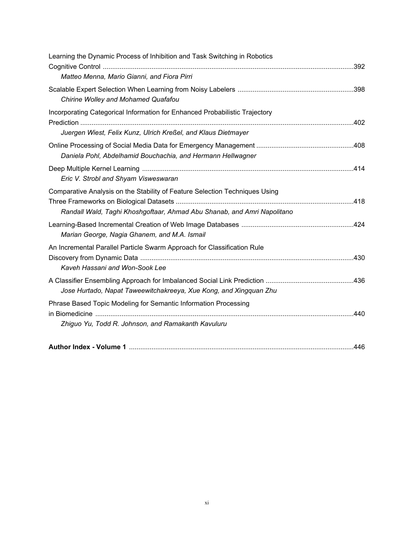| Learning the Dynamic Process of Inhibition and Task Switching in Robotics<br>Matteo Menna, Mario Gianni, and Fiora Pirri                               |  |
|--------------------------------------------------------------------------------------------------------------------------------------------------------|--|
| Chirine Wolley and Mohamed Quafafou                                                                                                                    |  |
| Incorporating Categorical Information for Enhanced Probabilistic Trajectory<br>Juergen Wiest, Felix Kunz, Ulrich Kreßel, and Klaus Dietmayer           |  |
| Daniela Pohl, Abdelhamid Bouchachia, and Hermann Hellwagner                                                                                            |  |
| Eric V. Strobl and Shyam Visweswaran                                                                                                                   |  |
| Comparative Analysis on the Stability of Feature Selection Techniques Using<br>Randall Wald, Taghi Khoshgoftaar, Ahmad Abu Shanab, and Amri Napolitano |  |
| Marian George, Nagia Ghanem, and M.A. Ismail                                                                                                           |  |
| An Incremental Parallel Particle Swarm Approach for Classification Rule<br>Kaveh Hassani and Won-Sook Lee                                              |  |
| Jose Hurtado, Napat Taweewitchakreeya, Xue Kong, and Xingquan Zhu                                                                                      |  |
| Phrase Based Topic Modeling for Semantic Information Processing<br>Zhiguo Yu, Todd R. Johnson, and Ramakanth Kavuluru                                  |  |
|                                                                                                                                                        |  |

| <b>Author Index - Volume 1</b> |  |  |  |
|--------------------------------|--|--|--|
|--------------------------------|--|--|--|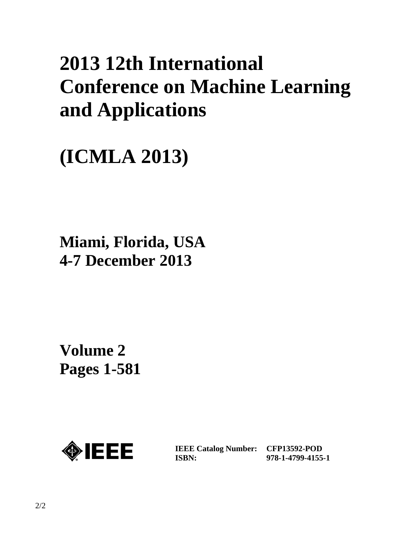# **2013 12th International Conference on Machine Learning and Applications**

# **(ICMLA 2013)**

**Miami, Florida, USA 4-7 December 2013**

**Volume 2 Pages 1-581** 



**IEEE Catalog Number: CFP13592-POD ISBN:** 

**978-1-4799-4155-1**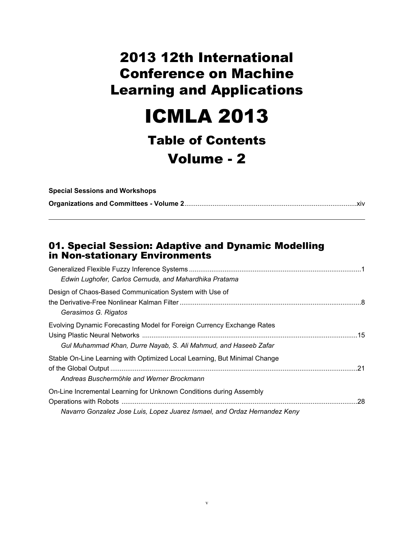# 2013 12th International Conference on Machine Learning and Applications

# ICMLA 2013

# Table of Contents

# Volume - 2

| <b>Special Sessions and Workshops</b> |  |
|---------------------------------------|--|
|                                       |  |

### 01. Special Session: Adaptive and Dynamic Modelling in Non-stationary Environments

| Edwin Lughofer, Carlos Cernuda, and Mahardhika Pratama                                                                                           |  |
|--------------------------------------------------------------------------------------------------------------------------------------------------|--|
| Design of Chaos-Based Communication System with Use of<br>Gerasimos G. Rigatos                                                                   |  |
| Evolving Dynamic Forecasting Model for Foreign Currency Exchange Rates<br>Gul Muhammad Khan, Durre Nayab, S. Ali Mahmud, and Haseeb Zafar        |  |
| Stable On-Line Learning with Optimized Local Learning, But Minimal Change<br>Andreas Buschermöhle and Werner Brockmann                           |  |
| On-Line Incremental Learning for Unknown Conditions during Assembly<br>Navarro Gonzalez Jose Luis, Lopez Juarez Ismael, and Ordaz Hernandez Keny |  |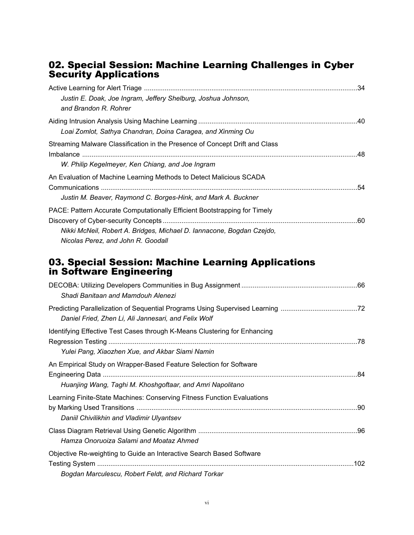### 02. Special Session: Machine Learning Challenges in Cyber Security Applications

| Justin E. Doak, Joe Ingram, Jeffery Shelburg, Joshua Johnson,<br>and Brandon R. Rohrer                                                                                                   |  |
|------------------------------------------------------------------------------------------------------------------------------------------------------------------------------------------|--|
| Loai Zomlot, Sathya Chandran, Doina Caragea, and Xinming Ou                                                                                                                              |  |
| Streaming Malware Classification in the Presence of Concept Drift and Class<br>W. Philip Kegelmeyer, Ken Chiang, and Joe Ingram                                                          |  |
| An Evaluation of Machine Learning Methods to Detect Malicious SCADA<br>Justin M. Beaver, Raymond C. Borges-Hink, and Mark A. Buckner                                                     |  |
| PACE: Pattern Accurate Computationally Efficient Bootstrapping for Timely<br>Nikki McNeil, Robert A. Bridges, Michael D. Iannacone, Bogdan Czejdo,<br>Nicolas Perez, and John R. Goodall |  |

#### 03. Special Session: Machine Learning Applications in Software Engineering

| Shadi Banitaan and Mamdouh Alenezi                                                                                              |  |
|---------------------------------------------------------------------------------------------------------------------------------|--|
| Daniel Fried, Zhen Li, Ali Jannesari, and Felix Wolf                                                                            |  |
| Identifying Effective Test Cases through K-Means Clustering for Enhancing<br>Yulei Pang, Xiaozhen Xue, and Akbar Siami Namin    |  |
| An Empirical Study on Wrapper-Based Feature Selection for Software<br>Huanjing Wang, Taghi M. Khoshgoftaar, and Amri Napolitano |  |
| Learning Finite-State Machines: Conserving Fitness Function Evaluations<br>Daniil Chivilikhin and Vladimir Ulyantsev            |  |
| Hamza Onoruoiza Salami and Moataz Ahmed                                                                                         |  |
| Objective Re-weighting to Guide an Interactive Search Based Software<br>Bogdan Marculescu, Robert Feldt, and Richard Torkar     |  |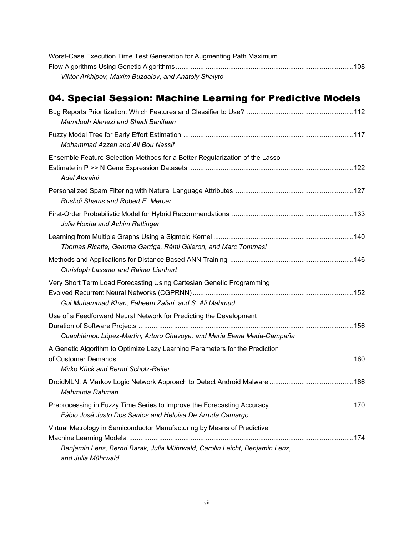| Worst-Case Execution Time Test Generation for Augmenting Path Maximum |  |
|-----------------------------------------------------------------------|--|
|                                                                       |  |
| Viktor Arkhipov, Maxim Buzdalov, and Anatoly Shalyto                  |  |

# 04. Special Session: Machine Learning for Predictive Models

| Mamdouh Alenezi and Shadi Banitaan                                                                                                                                          |  |
|-----------------------------------------------------------------------------------------------------------------------------------------------------------------------------|--|
| Mohammad Azzeh and Ali Bou Nassif                                                                                                                                           |  |
| Ensemble Feature Selection Methods for a Better Regularization of the Lasso<br><b>Adel Aloraini</b>                                                                         |  |
| Rushdi Shams and Robert E. Mercer                                                                                                                                           |  |
| Julia Hoxha and Achim Rettinger                                                                                                                                             |  |
| Thomas Ricatte, Gemma Garriga, Rémi Gilleron, and Marc Tommasi                                                                                                              |  |
| Christoph Lassner and Rainer Lienhart                                                                                                                                       |  |
| Very Short Term Load Forecasting Using Cartesian Genetic Programming<br>Gul Muhammad Khan, Faheem Zafari, and S. Ali Mahmud                                                 |  |
| Use of a Feedforward Neural Network for Predicting the Development<br>Cuauhtémoc López-Martín, Arturo Chavoya, and Maria Elena Meda-Campaña                                 |  |
| A Genetic Algorithm to Optimize Lazy Learning Parameters for the Prediction<br>Mirko Kück and Bernd Scholz-Reiter                                                           |  |
| Mahmuda Rahman                                                                                                                                                              |  |
| Fábio José Justo Dos Santos and Heloisa De Arruda Camargo                                                                                                                   |  |
| Virtual Metrology in Semiconductor Manufacturing by Means of Predictive<br>Benjamin Lenz, Bernd Barak, Julia Mührwald, Carolin Leicht, Benjamin Lenz,<br>and Julia Mührwald |  |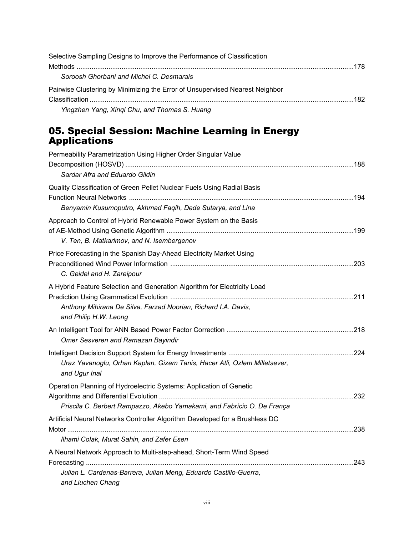| Selective Sampling Designs to Improve the Performance of Classification      |  |
|------------------------------------------------------------------------------|--|
|                                                                              |  |
| Soroosh Ghorbani and Michel C. Desmarais                                     |  |
| Pairwise Clustering by Minimizing the Error of Unsupervised Nearest Neighbor |  |
|                                                                              |  |
| Yingzhen Yang, Xingi Chu, and Thomas S. Huang                                |  |

### 05. Special Session: Machine Learning in Energy Applications

| Permeability Parametrization Using Higher Order Singular Value<br>Sardar Afra and Eduardo Gildin                                                                    |  |
|---------------------------------------------------------------------------------------------------------------------------------------------------------------------|--|
| Quality Classification of Green Pellet Nuclear Fuels Using Radial Basis<br>Benyamin Kusumoputro, Akhmad Faqih, Dede Sutarya, and Lina                               |  |
| Approach to Control of Hybrid Renewable Power System on the Basis<br>V. Ten, B. Matkarimov, and N. Isembergenov                                                     |  |
| Price Forecasting in the Spanish Day-Ahead Electricity Market Using<br>C. Geidel and H. Zareipour                                                                   |  |
| A Hybrid Feature Selection and Generation Algorithm for Electricity Load<br>Anthony Mihirana De Silva, Farzad Noorian, Richard I.A. Davis,<br>and Philip H.W. Leong |  |
| Omer Sesveren and Ramazan Bayindir                                                                                                                                  |  |
| Uraz Yavanoglu, Orhan Kaplan, Gizem Tanis, Hacer Atli, Ozlem Milletsever,<br>and Ugur Inal                                                                          |  |
| Operation Planning of Hydroelectric Systems: Application of Genetic<br>Priscila C. Berbert Rampazzo, Akebo Yamakami, and Fabrício O. De França                      |  |
| Artificial Neural Networks Controller Algorithm Developed for a Brushless DC<br>Ilhami Colak, Murat Sahin, and Zafer Esen                                           |  |
| A Neural Network Approach to Multi-step-ahead, Short-Term Wind Speed<br>Julian L. Cardenas-Barrera, Julian Meng, Eduardo Castillo-Guerra,<br>and Liuchen Chang      |  |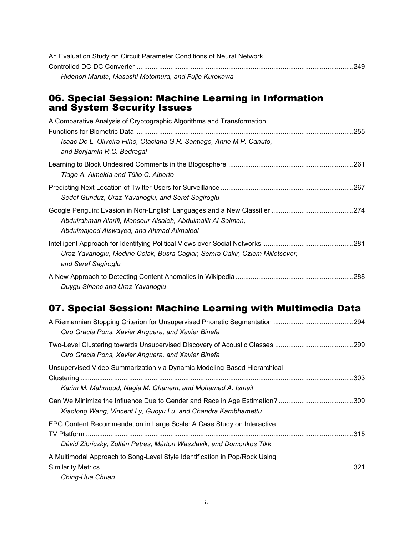| An Evaluation Study on Circuit Parameter Conditions of Neural Network |  |
|-----------------------------------------------------------------------|--|
|                                                                       |  |
| Hidenori Maruta, Masashi Motomura, and Fujio Kurokawa                 |  |

#### 06. Special Session: Machine Learning in Information and System Security Issues

| A Comparative Analysis of Cryptographic Algorithms and Transformation                                    |  |
|----------------------------------------------------------------------------------------------------------|--|
| Isaac De L. Oliveira Filho, Otaciana G.R. Santiago, Anne M.P. Canuto,<br>and Benjamín R.C. Bedregal      |  |
| Tiago A. Almeida and Túlio C. Alberto                                                                    |  |
| Sedef Gunduz, Uraz Yavanoglu, and Seref Sagiroglu                                                        |  |
| Abdulrahman Alarifi, Mansour Alsaleh, Abdulmalik Al-Salman,<br>Abdulmajeed Alswayed, and Ahmad Alkhaledi |  |
| Uraz Yavanoglu, Medine Colak, Busra Caglar, Semra Cakir, Ozlem Milletsever,<br>and Seref Sagiroglu       |  |
| Duygu Sinanc and Uraz Yavanoglu                                                                          |  |

## 07. Special Session: Machine Learning with Multimedia Data

| Ciro Gracia Pons, Xavier Anguera, and Xavier Binefa                        |  |
|----------------------------------------------------------------------------|--|
| Ciro Gracia Pons, Xavier Anguera, and Xavier Binefa                        |  |
| Unsupervised Video Summarization via Dynamic Modeling-Based Hierarchical   |  |
| Karim M. Mahmoud, Nagia M. Ghanem, and Mohamed A. Ismail                   |  |
| Xiaolong Wang, Vincent Ly, Guoyu Lu, and Chandra Kambhamettu               |  |
| EPG Content Recommendation in Large Scale: A Case Study on Interactive     |  |
| Dávid Zibriczky, Zoltán Petres, Márton Waszlavik, and Domonkos Tikk        |  |
| A Multimodal Approach to Song-Level Style Identification in Pop/Rock Using |  |
| Ching-Hua Chuan                                                            |  |
|                                                                            |  |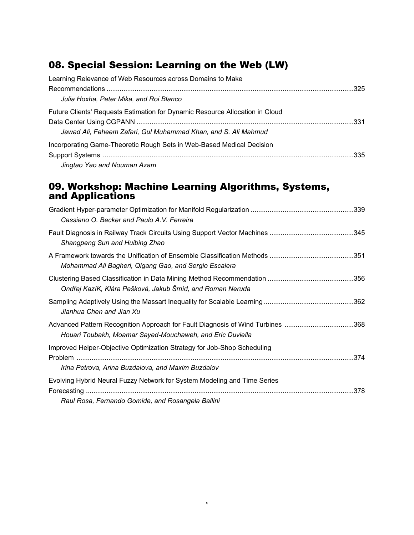# 08. Special Session: Learning on the Web (LW)

| Learning Relevance of Web Resources across Domains to Make                   |  |
|------------------------------------------------------------------------------|--|
|                                                                              |  |
| Julia Hoxha, Peter Mika, and Roi Blanco                                      |  |
| Future Clients' Requests Estimation for Dynamic Resource Allocation in Cloud |  |
|                                                                              |  |
| Jawad Ali, Faheem Zafari, Gul Muhammad Khan, and S. Ali Mahmud               |  |
| Incorporating Game-Theoretic Rough Sets in Web-Based Medical Decision        |  |
|                                                                              |  |
| $line 1 1 1 2 2 3$                                                           |  |

*Jingtao Yao and Nouman Azam*

### 09. Workshop: Machine Learning Algorithms, Systems, and Applications

| Cassiano O. Becker and Paulo A.V. Ferreira                                                                                                  |      |
|---------------------------------------------------------------------------------------------------------------------------------------------|------|
| Shangpeng Sun and Huibing Zhao                                                                                                              |      |
| Mohammad Ali Bagheri, Qigang Gao, and Sergio Escalera                                                                                       |      |
| Ondřej KazíK, Klára Pešková, Jakub Šmíd, and Roman Neruda                                                                                   |      |
| Jianhua Chen and Jian Xu                                                                                                                    |      |
| Advanced Pattern Recognition Approach for Fault Diagnosis of Wind Turbines 368<br>Houari Toubakh, Moamar Sayed-Mouchaweh, and Eric Duviella |      |
| Improved Helper-Objective Optimization Strategy for Job-Shop Scheduling                                                                     | .374 |
| Irina Petrova, Arina Buzdalova, and Maxim Buzdalov                                                                                          |      |
| Evolving Hybrid Neural Fuzzy Network for System Modeling and Time Series                                                                    |      |
| Raul Rosa, Fernando Gomide, and Rosangela Ballini                                                                                           |      |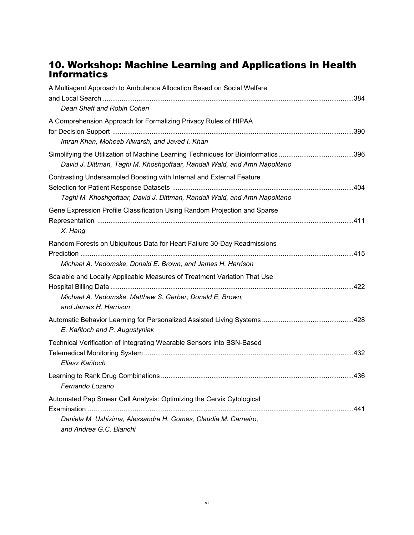### 10. Workshop: Machine Learning and Applications in Health Informatics

| A Multiagent Approach to Ambulance Allocation Based on Social Welfare                                                                                             |  |
|-------------------------------------------------------------------------------------------------------------------------------------------------------------------|--|
| Dean Shaft and Robin Cohen                                                                                                                                        |  |
| A Comprehension Approach for Formalizing Privacy Rules of HIPAA<br>Imran Khan, Moheeb Alwarsh, and Javed I. Khan                                                  |  |
| David J. Dittman, Taghi M. Khoshgoftaar, Randall Wald, and Amri Napolitano                                                                                        |  |
| Contrasting Undersampled Boosting with Internal and External Feature<br>Taghi M. Khoshgoftaar, David J. Dittman, Randall Wald, and Amri Napolitano                |  |
| Gene Expression Profile Classification Using Random Projection and Sparse<br>X. Hang                                                                              |  |
| Random Forests on Ubiquitous Data for Heart Failure 30-Day Readmissions<br>Michael A. Vedomske, Donald E. Brown, and James H. Harrison                            |  |
| Scalable and Locally Applicable Measures of Treatment Variation That Use<br>Michael A. Vedomske, Matthew S. Gerber, Donald E. Brown,<br>and James H. Harrison     |  |
| E. Kañtoch and P. Augustyniak                                                                                                                                     |  |
| Technical Verification of Integrating Wearable Sensors into BSN-Based<br>Eliasz Kañtoch                                                                           |  |
| Fernando Lozano                                                                                                                                                   |  |
| Automated Pap Smear Cell Analysis: Optimizing the Cervix Cytological<br>Daniela M. Ushizima, Alessandra H. Gomes, Claudia M. Carneiro,<br>and Andrea G.C. Bianchi |  |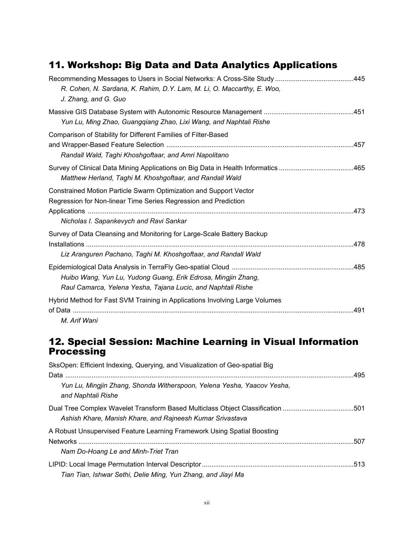# 11. Workshop: Big Data and Data Analytics Applications

| R. Cohen, N. Sardana, K. Rahim, D.Y. Lam, M. Li, O. Maccarthy, E. Woo,<br>J. Zhang, and G. Guo                                                                                  |  |
|---------------------------------------------------------------------------------------------------------------------------------------------------------------------------------|--|
| Yun Lu, Ming Zhao, Guangqiang Zhao, Lixi Wang, and Naphtali Rishe                                                                                                               |  |
| Comparison of Stability for Different Families of Filter-Based                                                                                                                  |  |
| Randall Wald, Taghi Khoshgoftaar, and Amri Napolitano                                                                                                                           |  |
| Matthew Herland, Taghi M. Khoshgoftaar, and Randall Wald                                                                                                                        |  |
| Constrained Motion Particle Swarm Optimization and Support Vector<br>Regression for Non-linear Time Series Regression and Prediction<br>Nicholas I. Sapankevych and Ravi Sankar |  |
| Survey of Data Cleansing and Monitoring for Large-Scale Battery Backup                                                                                                          |  |
| Liz Aranguren Pachano, Taghi M. Khoshgoftaar, and Randall Wald                                                                                                                  |  |
| Huibo Wang, Yun Lu, Yudong Guang, Erik Edrosa, Mingjin Zhang,<br>Raul Camarca, Yelena Yesha, Tajana Lucic, and Naphtali Rishe                                                   |  |
| Hybrid Method for Fast SVM Training in Applications Involving Large Volumes<br>M. Arif Wani                                                                                     |  |

### 12. Special Session: Machine Learning in Visual Information Processing

| SksOpen: Efficient Indexing, Querying, and Visualization of Geo-spatial Big                                                                 |  |
|---------------------------------------------------------------------------------------------------------------------------------------------|--|
| Yun Lu, Mingjin Zhang, Shonda Witherspoon, Yelena Yesha, Yaacov Yesha,<br>and Naphtali Rishe                                                |  |
| Dual Tree Complex Wavelet Transform Based Multiclass Object Classification 501<br>Ashish Khare, Manish Khare, and Rajneesh Kumar Srivastava |  |
| A Robust Unsupervised Feature Learning Framework Using Spatial Boosting                                                                     |  |
| Nam Do-Hoang Le and Minh-Triet Tran<br>Tian Tian, Ishwar Sethi, Delie Ming, Yun Zhang, and Jiayi Ma                                         |  |